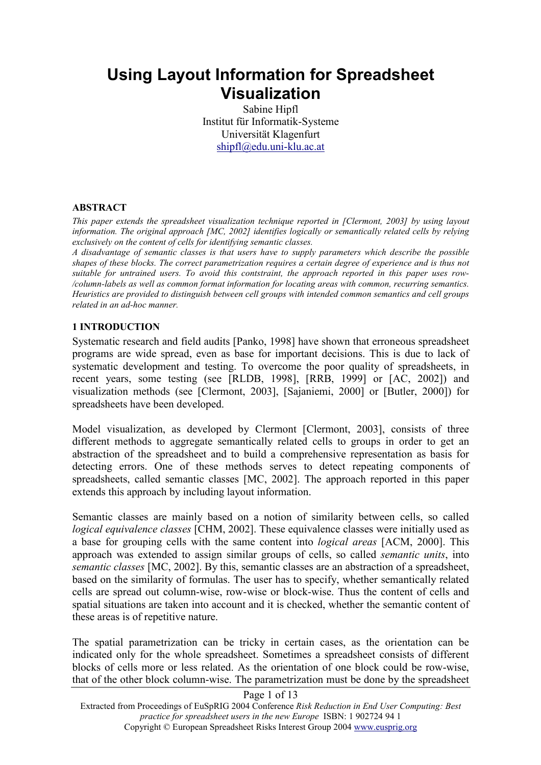# **Using Layout Information for Spreadsheet Visualization**

Sabine Hipfl Institut für Informatik-Systeme Universität Klagenfurt shipfl@edu.uni-klu.ac.at

#### **ABSTRACT**

*This paper extends the spreadsheet visualization technique reported in [Clermont, 2003] by using layout information. The original approach [MC, 2002] identifies logically or semantically related cells by relying exclusively on the content of cells for identifying semantic classes.* 

*A disadvantage of semantic classes is that users have to supply parameters which describe the possible shapes of these blocks. The correct parametrization requires a certain degree of experience and is thus not suitable for untrained users. To avoid this contstraint, the approach reported in this paper uses row- /column-labels as well as common format information for locating areas with common, recurring semantics. Heuristics are provided to distinguish between cell groups with intended common semantics and cell groups related in an ad-hoc manner.* 

#### **1 INTRODUCTION**

Systematic research and field audits [Panko, 1998] have shown that erroneous spreadsheet programs are wide spread, even as base for important decisions. This is due to lack of systematic development and testing. To overcome the poor quality of spreadsheets, in recent years, some testing (see [RLDB, 1998], [RRB, 1999] or [AC, 2002]) and visualization methods (see [Clermont, 2003], [Sajaniemi, 2000] or [Butler, 2000]) for spreadsheets have been developed.

Model visualization, as developed by Clermont [Clermont, 2003], consists of three different methods to aggregate semantically related cells to groups in order to get an abstraction of the spreadsheet and to build a comprehensive representation as basis for detecting errors. One of these methods serves to detect repeating components of spreadsheets, called semantic classes [MC, 2002]. The approach reported in this paper extends this approach by including layout information.

Semantic classes are mainly based on a notion of similarity between cells, so called *logical equivalence classes* [CHM, 2002]. These equivalence classes were initially used as a base for grouping cells with the same content into *logical areas* [ACM, 2000]. This approach was extended to assign similar groups of cells, so called *semantic units*, into *semantic classes* [MC, 2002]. By this, semantic classes are an abstraction of a spreadsheet, based on the similarity of formulas. The user has to specify, whether semantically related cells are spread out column-wise, row-wise or block-wise. Thus the content of cells and spatial situations are taken into account and it is checked, whether the semantic content of these areas is of repetitive nature.

The spatial parametrization can be tricky in certain cases, as the orientation can be indicated only for the whole spreadsheet. Sometimes a spreadsheet consists of different blocks of cells more or less related. As the orientation of one block could be row-wise, that of the other block column-wise. The parametrization must be done by the spreadsheet

Page 1 of 13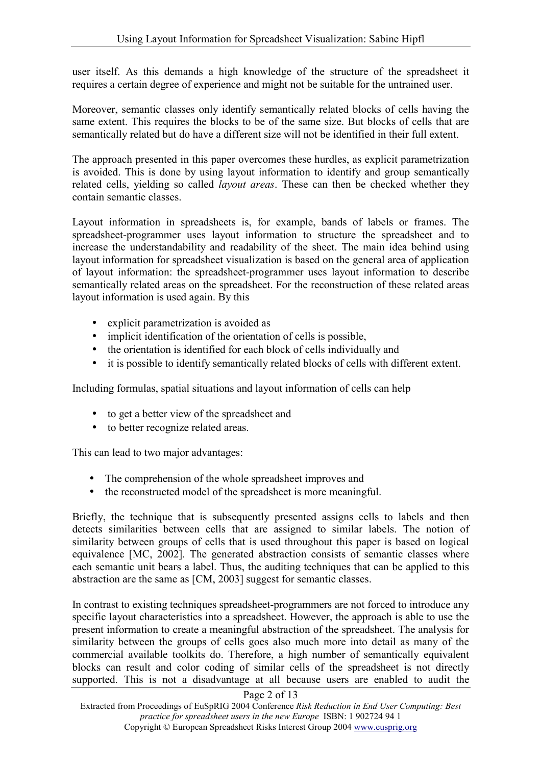user itself. As this demands a high knowledge of the structure of the spreadsheet it requires a certain degree of experience and might not be suitable for the untrained user.

Moreover, semantic classes only identify semantically related blocks of cells having the same extent. This requires the blocks to be of the same size. But blocks of cells that are semantically related but do have a different size will not be identified in their full extent.

The approach presented in this paper overcomes these hurdles, as explicit parametrization is avoided. This is done by using layout information to identify and group semantically related cells, yielding so called *layout areas*. These can then be checked whether they contain semantic classes.

Layout information in spreadsheets is, for example, bands of labels or frames. The spreadsheet-programmer uses layout information to structure the spreadsheet and to increase the understandability and readability of the sheet. The main idea behind using layout information for spreadsheet visualization is based on the general area of application of layout information: the spreadsheet-programmer uses layout information to describe semantically related areas on the spreadsheet. For the reconstruction of these related areas layout information is used again. By this

- explicit parametrization is avoided as
- implicit identification of the orientation of cells is possible.
- the orientation is identified for each block of cells individually and
- it is possible to identify semantically related blocks of cells with different extent.

Including formulas, spatial situations and layout information of cells can help

- to get a better view of the spreadsheet and
- to better recognize related areas.

This can lead to two major advantages:

- The comprehension of the whole spreadsheet improves and
- the reconstructed model of the spreadsheet is more meaningful.

Briefly, the technique that is subsequently presented assigns cells to labels and then detects similarities between cells that are assigned to similar labels. The notion of similarity between groups of cells that is used throughout this paper is based on logical equivalence [MC, 2002]. The generated abstraction consists of semantic classes where each semantic unit bears a label. Thus, the auditing techniques that can be applied to this abstraction are the same as [CM, 2003] suggest for semantic classes.

In contrast to existing techniques spreadsheet-programmers are not forced to introduce any specific layout characteristics into a spreadsheet. However, the approach is able to use the present information to create a meaningful abstraction of the spreadsheet. The analysis for similarity between the groups of cells goes also much more into detail as many of the commercial available toolkits do. Therefore, a high number of semantically equivalent blocks can result and color coding of similar cells of the spreadsheet is not directly supported. This is not a disadvantage at all because users are enabled to audit the

### Page 2 of 13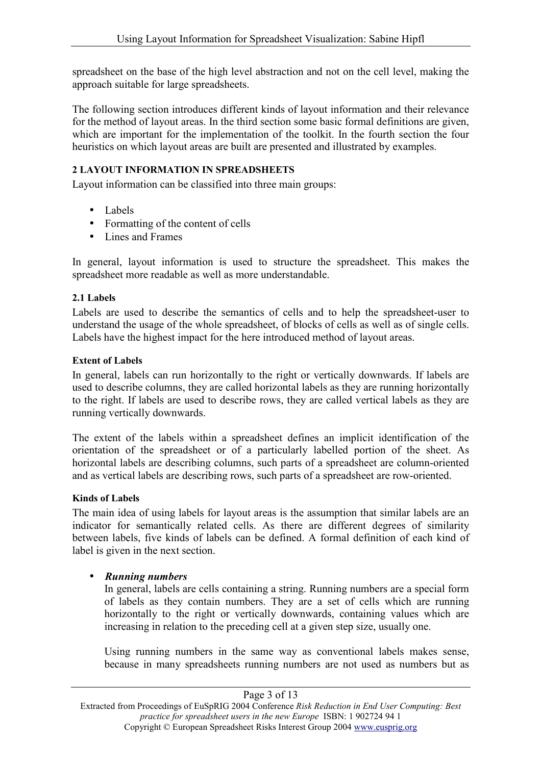spreadsheet on the base of the high level abstraction and not on the cell level, making the approach suitable for large spreadsheets.

The following section introduces different kinds of layout information and their relevance for the method of layout areas. In the third section some basic formal definitions are given, which are important for the implementation of the toolkit. In the fourth section the four heuristics on which layout areas are built are presented and illustrated by examples.

### **2 LAYOUT INFORMATION IN SPREADSHEETS**

Layout information can be classified into three main groups:

- Labels
- Formatting of the content of cells
- Lines and Frames

In general, layout information is used to structure the spreadsheet. This makes the spreadsheet more readable as well as more understandable.

### **2.1 Labels**

Labels are used to describe the semantics of cells and to help the spreadsheet-user to understand the usage of the whole spreadsheet, of blocks of cells as well as of single cells. Labels have the highest impact for the here introduced method of layout areas.

### **Extent of Labels**

In general, labels can run horizontally to the right or vertically downwards. If labels are used to describe columns, they are called horizontal labels as they are running horizontally to the right. If labels are used to describe rows, they are called vertical labels as they are running vertically downwards.

The extent of the labels within a spreadsheet defines an implicit identification of the orientation of the spreadsheet or of a particularly labelled portion of the sheet. As horizontal labels are describing columns, such parts of a spreadsheet are column-oriented and as vertical labels are describing rows, such parts of a spreadsheet are row-oriented.

### **Kinds of Labels**

The main idea of using labels for layout areas is the assumption that similar labels are an indicator for semantically related cells. As there are different degrees of similarity between labels, five kinds of labels can be defined. A formal definition of each kind of label is given in the next section.

# • *Running numbers*

In general, labels are cells containing a string. Running numbers are a special form of labels as they contain numbers. They are a set of cells which are running horizontally to the right or vertically downwards, containing values which are increasing in relation to the preceding cell at a given step size, usually one.

Using running numbers in the same way as conventional labels makes sense, because in many spreadsheets running numbers are not used as numbers but as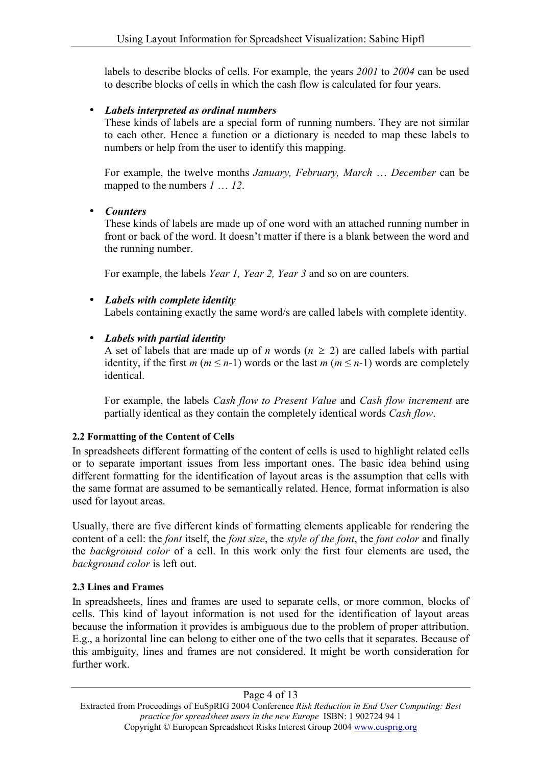labels to describe blocks of cells. For example, the years *2001* to *2004* can be used to describe blocks of cells in which the cash flow is calculated for four years.

### • *Labels interpreted as ordinal numbers*

These kinds of labels are a special form of running numbers. They are not similar to each other. Hence a function or a dictionary is needed to map these labels to numbers or help from the user to identify this mapping.

For example, the twelve months *January, February, March* … *December* can be mapped to the numbers *1* … *12*.

### • *Counters*

These kinds of labels are made up of one word with an attached running number in front or back of the word. It doesn't matter if there is a blank between the word and the running number.

For example, the labels *Year 1, Year 2, Year 3* and so on are counters.

• *Labels with complete identity*  Labels containing exactly the same word/s are called labels with complete identity.

### • *Labels with partial identity*

A set of labels that are made up of *n* words ( $n \ge 2$ ) are called labels with partial identity, if the first  $m (m \le n-1)$  words or the last  $m (m \le n-1)$  words are completely identical.

For example, the labels *Cash flow to Present Value* and *Cash flow increment* are partially identical as they contain the completely identical words *Cash flow*.

### **2.2 Formatting of the Content of Cells**

In spreadsheets different formatting of the content of cells is used to highlight related cells or to separate important issues from less important ones. The basic idea behind using different formatting for the identification of layout areas is the assumption that cells with the same format are assumed to be semantically related. Hence, format information is also used for layout areas.

Usually, there are five different kinds of formatting elements applicable for rendering the content of a cell: the *font* itself, the *font size*, the *style of the font*, the *font color* and finally the *background color* of a cell. In this work only the first four elements are used, the *background color* is left out.

### **2.3 Lines and Frames**

In spreadsheets, lines and frames are used to separate cells, or more common, blocks of cells. This kind of layout information is not used for the identification of layout areas because the information it provides is ambiguous due to the problem of proper attribution. E.g., a horizontal line can belong to either one of the two cells that it separates. Because of this ambiguity, lines and frames are not considered. It might be worth consideration for further work.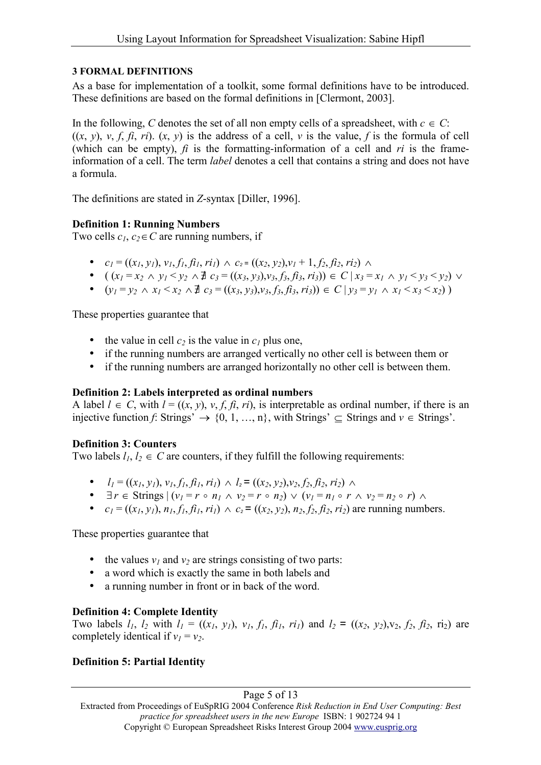### **3 FORMAL DEFINITIONS**

As a base for implementation of a toolkit, some formal definitions have to be introduced. These definitions are based on the formal definitions in [Clermont, 2003].

In the following, *C* denotes the set of all non empty cells of a spreadsheet, with  $c \in C$ : ((*x*, *y*), *v*, *f*, *fi*, *ri*). (*x*, *y*) is the address of a cell, *v* is the value, *f* is the formula of cell (which can be empty),  $\hat{f}$  is the formatting-information of a cell and  $\hat{r}$  is the frameinformation of a cell. The term *label* denotes a cell that contains a string and does not have a formula.

The definitions are stated in *Z*-syntax [Diller, 1996].

### **Definition 1: Running Numbers**

Two cells  $c_1$ ,  $c_2 \in C$  are running numbers, if

- $c_1 = ((x_1, y_1), v_1, f_1, f_1, r_1) \wedge c_2 = ((x_2, y_2), v_1 + 1, f_2, f_2, r_2) \wedge$
- $((x_1 = x_2 \land y_1 \leq y_2 \land \exists c_3 = ((x_3, y_3), y_3, f_3, f_3, r_3)) \in C | x_3 = x_1 \land y_1 \leq y_3 \leq y_2) \lor$
- $(y_1 = y_2 \land x_1 \le x_2 \land \exists c_3 = ((x_3, y_3), y_3, f_3, f_3, r_3)) \in C \mid y_3 = y_1 \land x_1 \le x_3 \le x_2)$

These properties guarantee that

- the value in cell  $c_2$  is the value in  $c_1$  plus one,
- if the running numbers are arranged vertically no other cell is between them or
- if the running numbers are arranged horizontally no other cell is between them.

### **Definition 2: Labels interpreted as ordinal numbers**

A label  $l \in C$ , with  $l = ((x, y), v, f, \hat{\pi}, r\hat{\pi})$ , is interpretable as ordinal number, if there is an injective function *f*: Strings'  $\rightarrow$  {0, 1, ..., n}, with Strings'  $\subseteq$  Strings and  $v \in$  Strings'.

### **Definition 3: Counters**

Two labels  $l_1, l_2 \in C$  are counters, if they fulfill the following requirements:

- $l_1 = ((x_1, y_1), y_1, f_1, f_1, r_1) \wedge l_2 = ((x_2, y_2), y_2, f_2, f_2, r_2) \wedge$
- $\exists r \in \text{Strings } | (v_1 = r \circ n_1 \land v_2 = r \circ n_2) \lor (v_1 = n_1 \circ r \land v_2 = n_2 \circ r) \land$
- $c_1 = ((x_1, y_1), n_1, f_1, f_1, ri_1) \wedge c_2 = ((x_2, y_2), n_2, f_2, f_2, ri_2)$  are running numbers.

These properties guarantee that

- the values  $v_1$  and  $v_2$  are strings consisting of two parts:
- a word which is exactly the same in both labels and
- a running number in front or in back of the word.

# **Definition 4: Complete Identity**

Two labels  $l_1$ ,  $l_2$  with  $l_1 = ((x_1, y_1), y_1, f_1, f_1, r_1)$  and  $l_2 = ((x_2, y_2), y_2, f_2, f_2, r_2)$  are completely identical if  $v_1 = v_2$ .

# **Definition 5: Partial Identity**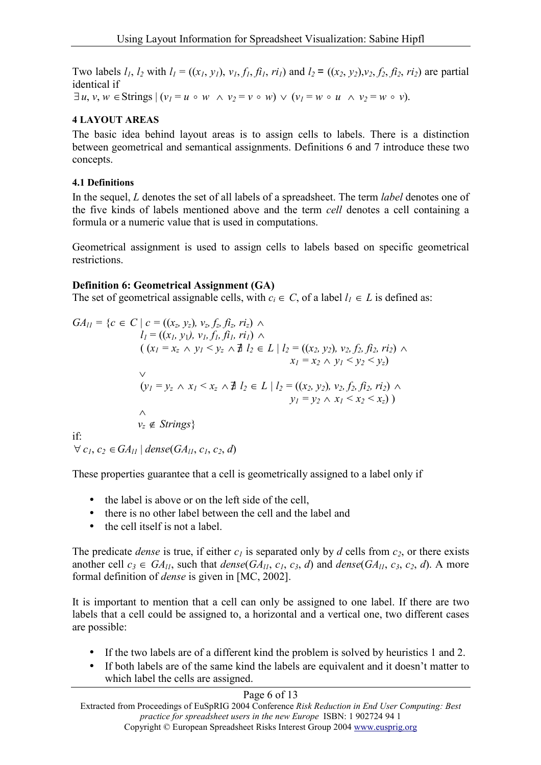Two labels  $l_1$ ,  $l_2$  with  $l_1 = ((x_1, y_1), y_1, f_1, f_1, r_1)$  and  $l_2 = ((x_2, y_2), y_2, f_2, f_2, r_2)$  are partial identical if  $\exists u, v, w \in \text{Strings } (v_1 = u \circ w \land v_2 = v \circ w) \lor (v_1 = w \circ u \land v_2 = w \circ v).$ 

### **4 LAYOUT AREAS**

The basic idea behind layout areas is to assign cells to labels. There is a distinction between geometrical and semantical assignments. Definitions 6 and 7 introduce these two concepts.

### **4.1 Definitions**

In the sequel, *L* denotes the set of all labels of a spreadsheet. The term *label* denotes one of the five kinds of labels mentioned above and the term *cell* denotes a cell containing a formula or a numeric value that is used in computations.

Geometrical assignment is used to assign cells to labels based on specific geometrical restrictions.

### **Definition 6: Geometrical Assignment (GA)**

The set of geometrical assignable cells, with  $c_i \in C$ , of a label  $l_i \in L$  is defined as:

 $GA_{11} = \{c \in C \mid c = ((x_z, y_z), v_z, f_z, f_z, r_z) \land$  $l_1 = ((x_1, y_1), y_1, f_1, f_1, ri_1) \wedge$  $((x_1 = x_2 \land y_1 \leq y_2 \land \exists l_2 \in L | l_2 = ((x_2, y_2), v_2, f_2, f_2, r_2) \land$  $x_1 = x_2 \wedge y_1 \leq y_2 \leq y_7$  $\vee$  $(y_1 = y_2 \land x_1 \le x_2 \land \exists l_2 \in L \mid l_2 = ((x_2, y_2), v_2, f_2, f_2, ri_2) \land$  $y_1 = y_2 \wedge x_1 \leq x_2 \leq x_2$ )  $\wedge$  $v_z \notin \textit{Strings}$ if:  $\forall$  *c*<sub>1</sub>, *c*<sub>2</sub>  $\in$  *GA*<sub>l1</sub> | *dense*(*GA*<sub>l1</sub>, *c*<sub>1</sub>, *c*<sub>2</sub>, *d*)

These properties guarantee that a cell is geometrically assigned to a label only if

- the label is above or on the left side of the cell,
- there is no other label between the cell and the label and
- the cell itself is not a label.

The predicate *dense* is true, if either  $c_1$  is separated only by *d* cells from  $c_2$ , or there exists another cell  $c_3 \in GA_{ll}$ , such that *dense*( $GA_{ll}$ ,  $c_1$ ,  $c_3$ , *d*) and *dense*( $GA_{ll}$ ,  $c_3$ ,  $c_2$ , *d*). A more formal definition of *dense* is given in [MC, 2002].

It is important to mention that a cell can only be assigned to one label. If there are two labels that a cell could be assigned to, a horizontal and a vertical one, two different cases are possible:

- If the two labels are of a different kind the problem is solved by heuristics 1 and 2.
- If both labels are of the same kind the labels are equivalent and it doesn't matter to which label the cells are assigned.

### Page 6 of 13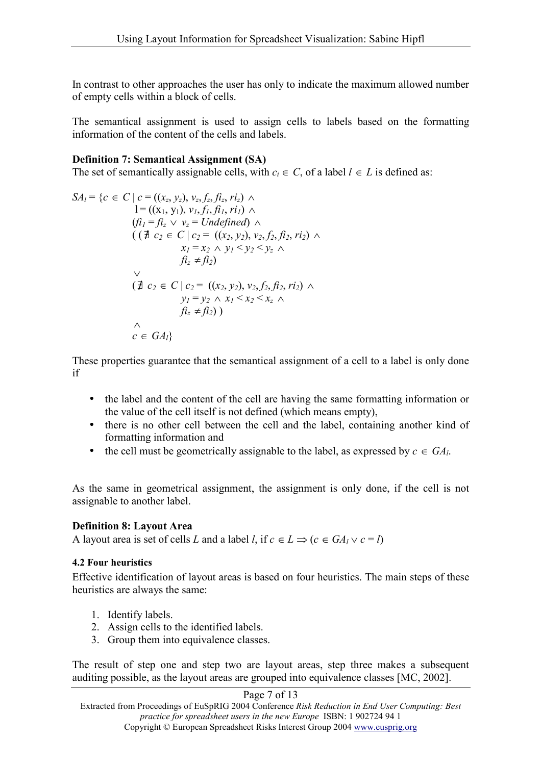In contrast to other approaches the user has only to indicate the maximum allowed number of empty cells within a block of cells.

The semantical assignment is used to assign cells to labels based on the formatting information of the content of the cells and labels.

### **Definition 7: Semantical Assignment (SA)**

The set of semantically assignable cells, with  $c_i \in C$ , of a label  $l \in L$  is defined as:

$$
SA_{l} = \{c \in C \mid c = ((x_{z}, y_{z}), v_{z}, f_{z}, f_{z}, r_{z}) \land l = ((x_{1}, y_{1}), v_{1}, f_{1}, f_{1}, r_{1}) \land (fi_{l} = fi_{z} \lor v_{z} = Undefined) \land ((\exists c_{2} \in C \mid c_{2} = ((x_{2}, y_{2}), v_{2}, f_{2}, f_{12}, r_{12}) \land x_{l} = x_{2} \land y_{l} < y_{2} < y_{z} \land f_{l}^{2} \neq f_{l2}) \lor (\exists c_{2} \in C \mid c_{2} = ((x_{2}, y_{2}), v_{2}, f_{2}, f_{l2}, r_{l2}) \land y_{l} = y_{2} \land x_{l} < x_{2} < x_{z} \land f_{l}^{2} \neq f_{l2}) ) \land \land c \in GA_{l} \}
$$

These properties guarantee that the semantical assignment of a cell to a label is only done if

- the label and the content of the cell are having the same formatting information or the value of the cell itself is not defined (which means empty),
- there is no other cell between the cell and the label, containing another kind of formatting information and
- the cell must be geometrically assignable to the label, as expressed by  $c \in GA_l$ .

As the same in geometrical assignment, the assignment is only done, if the cell is not assignable to another label.

### **Definition 8: Layout Area**

A layout area is set of cells *L* and a label *l*, if  $c \in L \implies (c \in GA_1 \vee c = l)$ 

### **4.2 Four heuristics**

Effective identification of layout areas is based on four heuristics. The main steps of these heuristics are always the same:

- 1. Identify labels.
- 2. Assign cells to the identified labels.
- 3. Group them into equivalence classes.

The result of step one and step two are layout areas, step three makes a subsequent auditing possible, as the layout areas are grouped into equivalence classes [MC, 2002].

### Page 7 of 13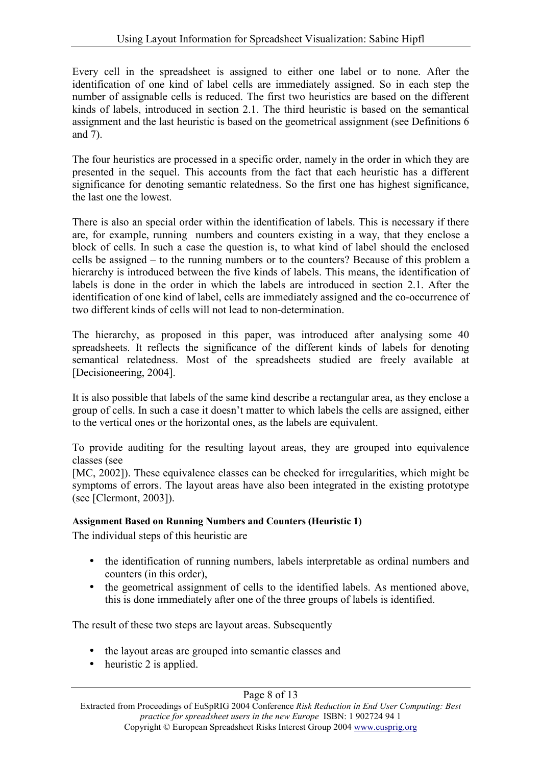Every cell in the spreadsheet is assigned to either one label or to none. After the identification of one kind of label cells are immediately assigned. So in each step the number of assignable cells is reduced. The first two heuristics are based on the different kinds of labels, introduced in section 2.1. The third heuristic is based on the semantical assignment and the last heuristic is based on the geometrical assignment (see Definitions 6 and 7).

The four heuristics are processed in a specific order, namely in the order in which they are presented in the sequel. This accounts from the fact that each heuristic has a different significance for denoting semantic relatedness. So the first one has highest significance, the last one the lowest.

There is also an special order within the identification of labels. This is necessary if there are, for example, running numbers and counters existing in a way, that they enclose a block of cells. In such a case the question is, to what kind of label should the enclosed cells be assigned – to the running numbers or to the counters? Because of this problem a hierarchy is introduced between the five kinds of labels. This means, the identification of labels is done in the order in which the labels are introduced in section 2.1. After the identification of one kind of label, cells are immediately assigned and the co-occurrence of two different kinds of cells will not lead to non-determination.

The hierarchy, as proposed in this paper, was introduced after analysing some 40 spreadsheets. It reflects the significance of the different kinds of labels for denoting semantical relatedness. Most of the spreadsheets studied are freely available at [Decisioneering, 2004].

It is also possible that labels of the same kind describe a rectangular area, as they enclose a group of cells. In such a case it doesn't matter to which labels the cells are assigned, either to the vertical ones or the horizontal ones, as the labels are equivalent.

To provide auditing for the resulting layout areas, they are grouped into equivalence classes (see

[MC, 2002]). These equivalence classes can be checked for irregularities, which might be symptoms of errors. The layout areas have also been integrated in the existing prototype (see [Clermont, 2003]).

### **Assignment Based on Running Numbers and Counters (Heuristic 1)**

The individual steps of this heuristic are

- the identification of running numbers, labels interpretable as ordinal numbers and counters (in this order),
- the geometrical assignment of cells to the identified labels. As mentioned above, this is done immediately after one of the three groups of labels is identified.

The result of these two steps are layout areas. Subsequently

- the layout areas are grouped into semantic classes and
- heuristic 2 is applied.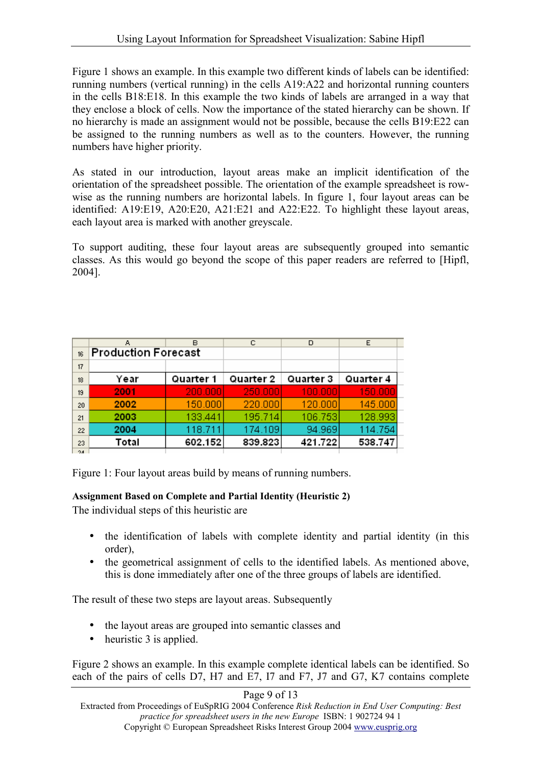Figure 1 shows an example. In this example two different kinds of labels can be identified: running numbers (vertical running) in the cells A19:A22 and horizontal running counters in the cells B18:E18. In this example the two kinds of labels are arranged in a way that they enclose a block of cells. Now the importance of the stated hierarchy can be shown. If no hierarchy is made an assignment would not be possible, because the cells B19:E22 can be assigned to the running numbers as well as to the counters. However, the running numbers have higher priority.

As stated in our introduction, layout areas make an implicit identification of the orientation of the spreadsheet possible. The orientation of the example spreadsheet is rowwise as the running numbers are horizontal labels. In figure 1, four layout areas can be identified: A19:E19, A20:E20, A21:E21 and A22:E22. To highlight these layout areas, each layout area is marked with another greyscale.

To support auditing, these four layout areas are subsequently grouped into semantic classes. As this would go beyond the scope of this paper readers are referred to [Hipfl, 2004].

|     | в<br>А                     |           | с         | D         | E         |
|-----|----------------------------|-----------|-----------|-----------|-----------|
| 16  | <b>Production Forecast</b> |           |           |           |           |
| 17  |                            |           |           |           |           |
| 18  | Year                       | Quarter 1 | Quarter 2 | Quarter 3 | Quarter 4 |
| 19  | 2001                       | 200,000   | 250,000   | 100,000   | 150,000   |
| 20  | 2002                       | 150,000   | 220,000   | 120,000   | 145,000   |
| 21  | 2003                       | 133.441   | 195.714   | 106.753   | 128.993   |
| 22  | 2004                       | 118.711   | 174.109   | 94.969    | 114.754   |
| 23  | Total                      | 602.152   | 839.823   | 421.722   | 538.747   |
| 24. |                            |           |           |           |           |

Figure 1: Four layout areas build by means of running numbers.

### **Assignment Based on Complete and Partial Identity (Heuristic 2)**

The individual steps of this heuristic are

- the identification of labels with complete identity and partial identity (in this order),
- the geometrical assignment of cells to the identified labels. As mentioned above, this is done immediately after one of the three groups of labels are identified.

The result of these two steps are layout areas. Subsequently

- the layout areas are grouped into semantic classes and
- heuristic 3 is applied.

Figure 2 shows an example. In this example complete identical labels can be identified. So each of the pairs of cells D7, H7 and E7, I7 and F7, J7 and G7, K7 contains complete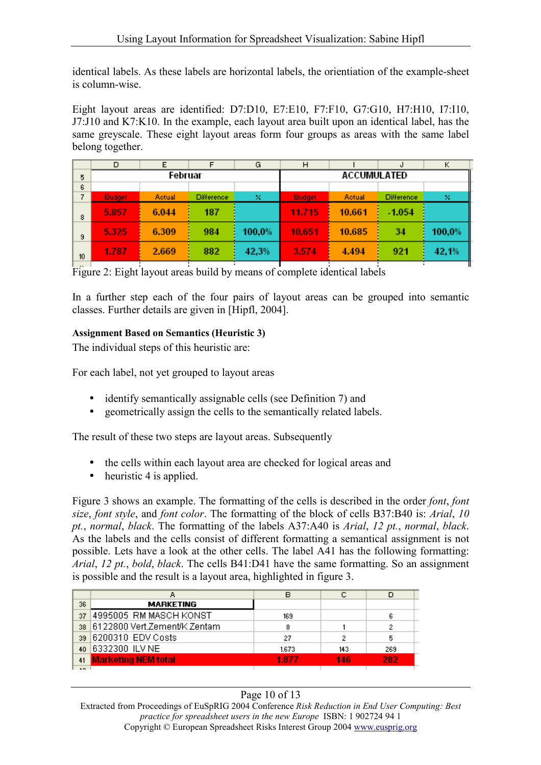identical labels. As these labels are horizontal labels, the orientiation of the example-sheet is column-wise.

Eight layout areas are identified: D7:D10, E7:E10, F7:F10, G7:G10, H7:H10, I7:I10, J7:J10 and K7:K10. In the example, each layout area built upon an identical label, has the same greyscale. These eight layout areas form four groups as areas with the same label belong together.

|    | D             | Ε             |                   | G                  | н             |        | J                 | Κ      |
|----|---------------|---------------|-------------------|--------------------|---------------|--------|-------------------|--------|
| 5  | Februar       |               |                   | <b>ACCUMULATED</b> |               |        |                   |        |
| 6  |               |               |                   |                    |               |        |                   |        |
| 7  | <b>Budget</b> | <b>Actual</b> | <b>Difference</b> | ×                  | <b>Budget</b> | Actual | <b>Difference</b> | ×      |
| 8  | 5.857         | 6.044         | 187               |                    | 11.715        | 10.661 | $-1.054$          |        |
| 9  | 5.325         | 6.309         | 984               | 100,0%             | 10.651        | 10.685 | 34                | 100,0% |
| 10 | 1.787         | 2.669         | 882               | 42,3%              | 3.574         | 4.494  | 921               | 42,1%  |

Figure 2: Eight layout areas build by means of complete identical labels

In a further step each of the four pairs of layout areas can be grouped into semantic classes. Further details are given in [Hipfl, 2004].

### **Assignment Based on Semantics (Heuristic 3)**

The individual steps of this heuristic are:

For each label, not yet grouped to layout areas

- identify semantically assignable cells (see Definition 7) and
- geometrically assign the cells to the semantically related labels.

The result of these two steps are layout areas. Subsequently

- the cells within each layout area are checked for logical areas and
- heuristic 4 is applied.

Figure 3 shows an example. The formatting of the cells is described in the order *font*, *font size*, *font style*, and *font color*. The formatting of the block of cells B37:B40 is: *Arial*, *10 pt.*, *normal*, *black*. The formatting of the labels A37:A40 is *Arial*, *12 pt.*, *normal*, *black*. As the labels and the cells consist of different formatting a semantical assignment is not possible. Lets have a look at the other cells. The label A41 has the following formatting: *Arial*, *12 pt.*, *bold*, *black*. The cells B41:D41 have the same formatting. So an assignment is possible and the result is a layout area, highlighted in figure 3.

|      |                              | в     | с   |     |
|------|------------------------------|-------|-----|-----|
| 36   | <b>MARKETING</b>             |       |     |     |
| 37   | 4995005 RM MASCH KONST       | 169   |     | 6   |
| 38   | 6122800 Vert.Zement/K Zentam | 8     |     |     |
| 39   | 6200310 EDV Costs            | 27    |     |     |
| 40   | 6332300 ILV NE               | 1.673 | 143 | 269 |
| 41   | <b>Marketing NEM total</b>   | 1.877 | 146 | 282 |
| 4.05 |                              |       |     |     |

### Page 10 of 13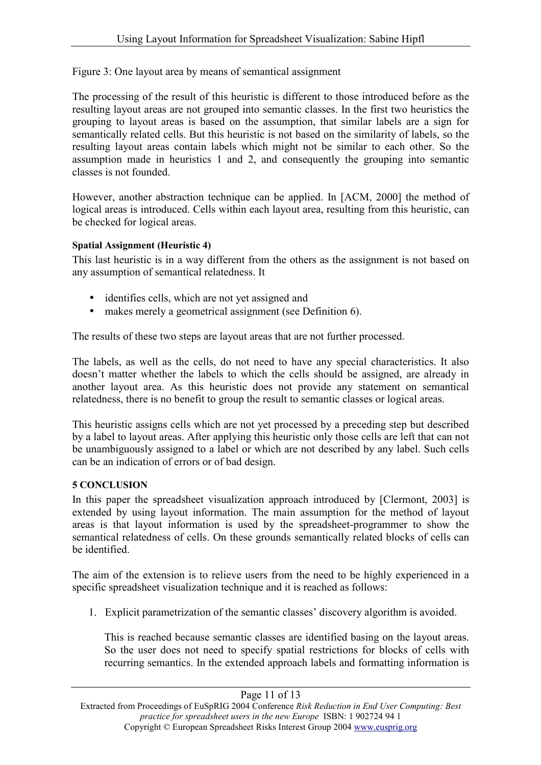Figure 3: One layout area by means of semantical assignment

The processing of the result of this heuristic is different to those introduced before as the resulting layout areas are not grouped into semantic classes. In the first two heuristics the grouping to layout areas is based on the assumption, that similar labels are a sign for semantically related cells. But this heuristic is not based on the similarity of labels, so the resulting layout areas contain labels which might not be similar to each other. So the assumption made in heuristics 1 and 2, and consequently the grouping into semantic classes is not founded.

However, another abstraction technique can be applied. In [ACM, 2000] the method of logical areas is introduced. Cells within each layout area, resulting from this heuristic, can be checked for logical areas.

### **Spatial Assignment (Heuristic 4)**

This last heuristic is in a way different from the others as the assignment is not based on any assumption of semantical relatedness. It

- identifies cells, which are not yet assigned and
- makes merely a geometrical assignment (see Definition 6).

The results of these two steps are layout areas that are not further processed.

The labels, as well as the cells, do not need to have any special characteristics. It also doesn't matter whether the labels to which the cells should be assigned, are already in another layout area. As this heuristic does not provide any statement on semantical relatedness, there is no benefit to group the result to semantic classes or logical areas.

This heuristic assigns cells which are not yet processed by a preceding step but described by a label to layout areas. After applying this heuristic only those cells are left that can not be unambiguously assigned to a label or which are not described by any label. Such cells can be an indication of errors or of bad design.

### **5 CONCLUSION**

In this paper the spreadsheet visualization approach introduced by [Clermont, 2003] is extended by using layout information. The main assumption for the method of layout areas is that layout information is used by the spreadsheet-programmer to show the semantical relatedness of cells. On these grounds semantically related blocks of cells can be identified.

The aim of the extension is to relieve users from the need to be highly experienced in a specific spreadsheet visualization technique and it is reached as follows:

1. Explicit parametrization of the semantic classes' discovery algorithm is avoided.

This is reached because semantic classes are identified basing on the layout areas. So the user does not need to specify spatial restrictions for blocks of cells with recurring semantics. In the extended approach labels and formatting information is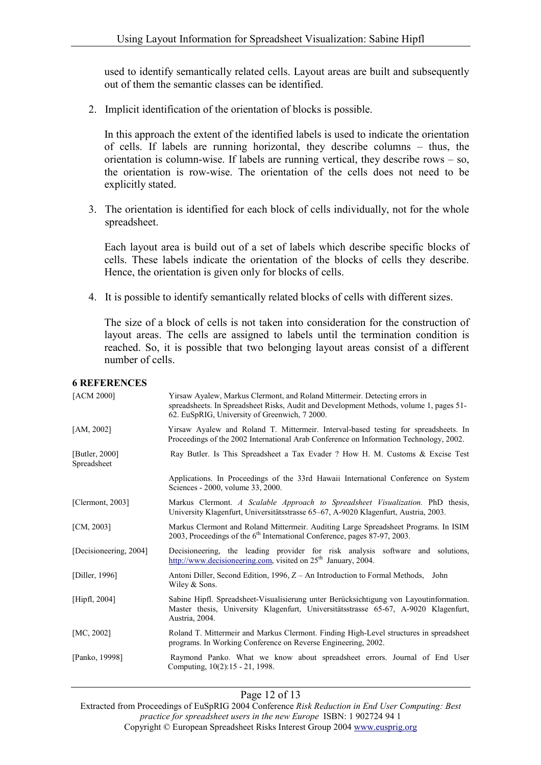used to identify semantically related cells. Layout areas are built and subsequently out of them the semantic classes can be identified.

2. Implicit identification of the orientation of blocks is possible.

In this approach the extent of the identified labels is used to indicate the orientation of cells. If labels are running horizontal, they describe columns – thus, the orientation is column-wise. If labels are running vertical, they describe rows – so, the orientation is row-wise. The orientation of the cells does not need to be explicitly stated.

3. The orientation is identified for each block of cells individually, not for the whole spreadsheet.

Each layout area is build out of a set of labels which describe specific blocks of cells. These labels indicate the orientation of the blocks of cells they describe. Hence, the orientation is given only for blocks of cells.

4. It is possible to identify semantically related blocks of cells with different sizes.

The size of a block of cells is not taken into consideration for the construction of layout areas. The cells are assigned to labels until the termination condition is reached. So, it is possible that two belonging layout areas consist of a different number of cells.

#### **6 REFERENCES**

| [ACM 2000]                       | Yirsaw Ayalew, Markus Clermont, and Roland Mittermeir. Detecting errors in<br>spreadsheets. In Spreadsheet Risks, Audit and Development Methods, volume 1, pages 51-<br>62. EuSpRIG, University of Greenwich, 7 2000. |
|----------------------------------|-----------------------------------------------------------------------------------------------------------------------------------------------------------------------------------------------------------------------|
| [AM, 2002]                       | Yirsaw Ayalew and Roland T. Mittermeir. Interval-based testing for spreadsheets. In<br>Proceedings of the 2002 International Arab Conference on Information Technology, 2002.                                         |
| [Butler, $2000$ ]<br>Spreadsheet | Ray Butler. Is This Spreadsheet a Tax Evader ? How H. M. Customs & Excise Test                                                                                                                                        |
|                                  | Applications. In Proceedings of the 33rd Hawaii International Conference on System<br>Sciences - 2000, volume 33, 2000.                                                                                               |
| [Clermont, $2003$ ]              | Markus Clermont. A Scalable Approach to Spreadsheet Visualization. PhD thesis,<br>University Klagenfurt, Universitätsstrasse 65–67, A-9020 Klagenfurt, Austria, 2003.                                                 |
| [CM, 2003]                       | Markus Clermont and Roland Mittermeir. Auditing Large Spreadsheet Programs. In ISIM<br>2003, Proceedings of the 6 <sup>th</sup> International Conference, pages 87-97, 2003.                                          |
| [Decisioneering, 2004]           | Decisioneering, the leading provider for risk analysis software and solutions,<br>http://www.decisioneering.com, visited on $25th$ January, 2004.                                                                     |
| [Diller, 1996]                   | Antoni Diller, Second Edition, 1996, $Z - An$ Introduction to Formal Methods, John<br>Wiley & Sons.                                                                                                                   |
| [ $High, 2004$ ]                 | Sabine Hipfl. Spreadsheet-Visualisierung unter Berücksichtigung von Layoutinformation.<br>Master thesis, University Klagenfurt, Universitätsstrasse 65-67, A-9020 Klagenfurt,<br>Austria, 2004.                       |
| [MC, 2002]                       | Roland T. Mittermeir and Markus Clermont. Finding High-Level structures in spreadsheet<br>programs. In Working Conference on Reverse Engineering, 2002.                                                               |
| [Panko, 19998]                   | Raymond Panko. What we know about spreadsheet errors. Journal of End User<br>Computing, 10(2):15 - 21, 1998.                                                                                                          |

Page 12 of 13